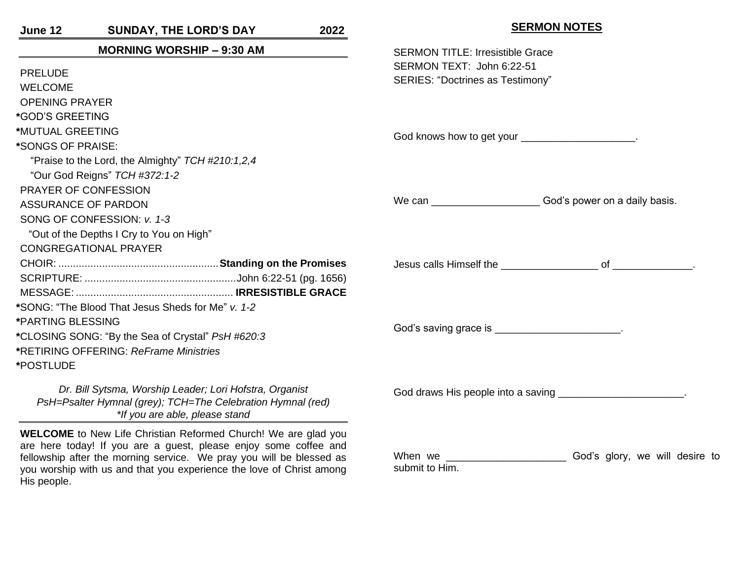| June 12                                                                                                                                      | <b>SUNDAY, THE LORD'S DAY</b>                                         | 2022 | <b>SERMON NOTES</b>                                                                                                                                                                                                                                                    |  |
|----------------------------------------------------------------------------------------------------------------------------------------------|-----------------------------------------------------------------------|------|------------------------------------------------------------------------------------------------------------------------------------------------------------------------------------------------------------------------------------------------------------------------|--|
| <b>MORNING WORSHIP - 9:30 AM</b>                                                                                                             |                                                                       |      | <b>SERMON TITLE: Irresistible Grace</b>                                                                                                                                                                                                                                |  |
| <b>PRELUDE</b>                                                                                                                               |                                                                       |      | SERMON TEXT: John 6:22-51                                                                                                                                                                                                                                              |  |
| <b>WELCOME</b>                                                                                                                               |                                                                       |      | SERIES: "Doctrines as Testimony"                                                                                                                                                                                                                                       |  |
| <b>OPENING PRAYER</b>                                                                                                                        |                                                                       |      |                                                                                                                                                                                                                                                                        |  |
| *GOD'S GREETING                                                                                                                              |                                                                       |      |                                                                                                                                                                                                                                                                        |  |
| *MUTUAL GREETING                                                                                                                             |                                                                       |      |                                                                                                                                                                                                                                                                        |  |
| *SONGS OF PRAISE:                                                                                                                            |                                                                       |      | God knows how to get your ______________________.                                                                                                                                                                                                                      |  |
|                                                                                                                                              | "Praise to the Lord, the Almighty" TCH #210:1,2,4                     |      |                                                                                                                                                                                                                                                                        |  |
|                                                                                                                                              | "Our God Reigns" TCH #372:1-2                                         |      |                                                                                                                                                                                                                                                                        |  |
|                                                                                                                                              | PRAYER OF CONFESSION                                                  |      |                                                                                                                                                                                                                                                                        |  |
| ASSURANCE OF PARDON                                                                                                                          |                                                                       |      | We can _______________________God's power on a daily basis.                                                                                                                                                                                                            |  |
| SONG OF CONFESSION: v. 1-3                                                                                                                   |                                                                       |      |                                                                                                                                                                                                                                                                        |  |
|                                                                                                                                              | "Out of the Depths I Cry to You on High"                              |      |                                                                                                                                                                                                                                                                        |  |
|                                                                                                                                              | <b>CONGREGATIONAL PRAYER</b>                                          |      |                                                                                                                                                                                                                                                                        |  |
|                                                                                                                                              |                                                                       |      |                                                                                                                                                                                                                                                                        |  |
|                                                                                                                                              |                                                                       |      |                                                                                                                                                                                                                                                                        |  |
|                                                                                                                                              |                                                                       |      |                                                                                                                                                                                                                                                                        |  |
|                                                                                                                                              | *SONG: "The Blood That Jesus Sheds for Me" v. 1-2                     |      |                                                                                                                                                                                                                                                                        |  |
| *PARTING BLESSING                                                                                                                            |                                                                       |      | God's saving grace is __________________________.                                                                                                                                                                                                                      |  |
| *CLOSING SONG: "By the Sea of Crystal" PsH #620:3                                                                                            |                                                                       |      |                                                                                                                                                                                                                                                                        |  |
|                                                                                                                                              | *RETIRING OFFERING: ReFrame Ministries                                |      |                                                                                                                                                                                                                                                                        |  |
| *POSTLUDE                                                                                                                                    |                                                                       |      |                                                                                                                                                                                                                                                                        |  |
| Dr. Bill Sytsma, Worship Leader; Lori Hofstra, Organist<br>PsH=Psalter Hymnal (grey); TCH=The Celebration Hymnal (red)                       |                                                                       |      | God draws His people into a saving ______________________.                                                                                                                                                                                                             |  |
|                                                                                                                                              |                                                                       |      |                                                                                                                                                                                                                                                                        |  |
|                                                                                                                                              | *If you are able, please stand                                        |      |                                                                                                                                                                                                                                                                        |  |
|                                                                                                                                              | <b>WELCOME</b> to New Life Christian Reformed Church! We are glad you |      |                                                                                                                                                                                                                                                                        |  |
| are here today! If you are a guest, please enjoy some coffee and                                                                             |                                                                       |      | When we <u>with the state of the state of the state of the state of the state of the state of the state of the state of the state of the state of the state of the state of the state of the state of the state of the state of </u><br>God's glory, we will desire to |  |
| fellowship after the morning service. We pray you will be blessed as<br>you worship with us and that you experience the love of Christ among |                                                                       |      | submit to Him.                                                                                                                                                                                                                                                         |  |
| His people.                                                                                                                                  |                                                                       |      |                                                                                                                                                                                                                                                                        |  |